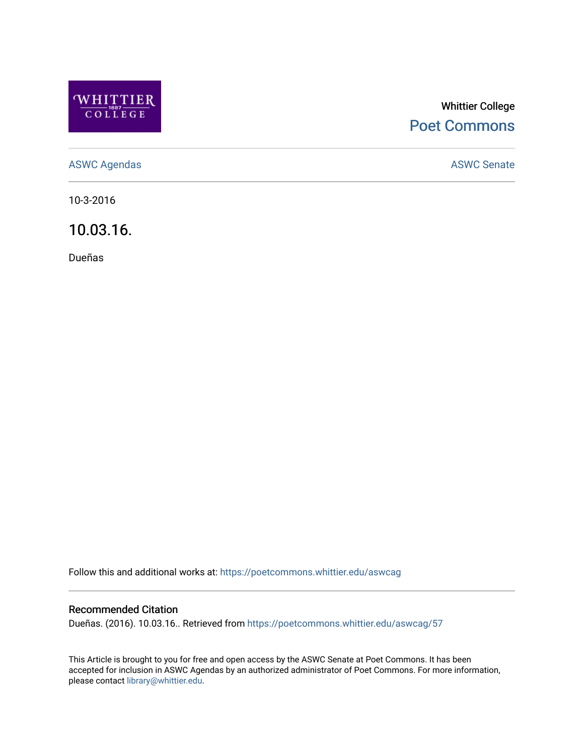

# Whittier College [Poet Commons](https://poetcommons.whittier.edu/)

[ASWC Agendas](https://poetcommons.whittier.edu/aswcag) **ASWC Senate** 

10-3-2016

10.03.16.

Dueñas

Follow this and additional works at: [https://poetcommons.whittier.edu/aswcag](https://poetcommons.whittier.edu/aswcag?utm_source=poetcommons.whittier.edu%2Faswcag%2F57&utm_medium=PDF&utm_campaign=PDFCoverPages) 

### Recommended Citation

Dueñas. (2016). 10.03.16.. Retrieved from [https://poetcommons.whittier.edu/aswcag/57](https://poetcommons.whittier.edu/aswcag/57?utm_source=poetcommons.whittier.edu%2Faswcag%2F57&utm_medium=PDF&utm_campaign=PDFCoverPages) 

This Article is brought to you for free and open access by the ASWC Senate at Poet Commons. It has been accepted for inclusion in ASWC Agendas by an authorized administrator of Poet Commons. For more information, please contact [library@whittier.edu](mailto:library@whittier.edu).